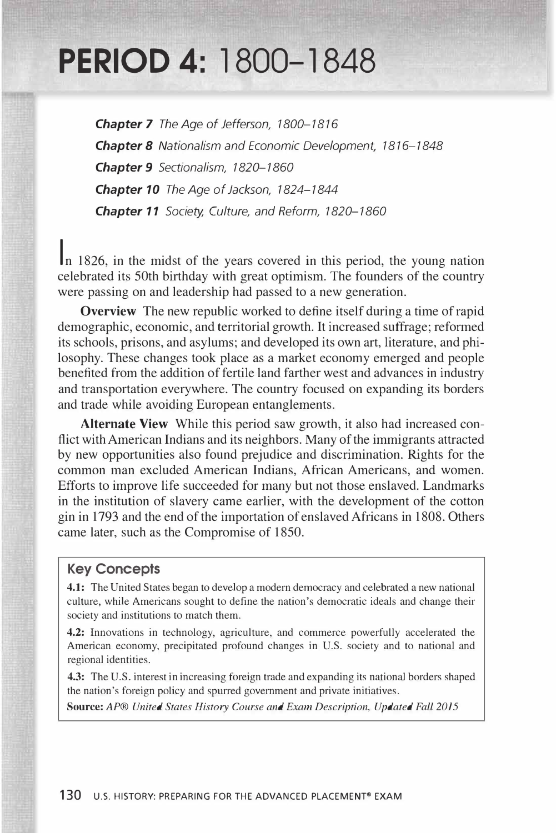# **PERIOD 4: 1800- 1848**

*Chapter* **7** *The Age of Jefferson, 1800-1816 Chapter 8 Nationalism and Economic Development, 1816-1848 Chapter 9 Sectionalism, 1820-1860 Chapter 10 The Age of Jackson, 1824-1844 Chapter 11 Society, Culture, and Reform, 1820-1860* 

**In** 1826, in the midst of the years covered in this period, the young nation celebrated its 50th birthday with great optimism. The founders of the country were passing on and leadership had passed to a new generation.

**Overview** The new republic worked to define itself during a time of rapid demographic, economic, and territorial growth. It increased suffrage; reformed its schools, prisons, and asylums; and developed its own art, literature, and philosophy. These changes took place as a market economy emerged and people benefited from the addition of fertile land farther west and advances in industry and transportation everywhere. The country focused on expanding its borders and trade while avoiding European entanglements.

**Alternate View** While this period saw growth, it also had increased conflict with American Indians and its neighbors. Many of the immigrants attracted by new opportunities also found prejudice and discrimination. Rights for the common man excluded American Indians, African Americans, and women. Efforts to improve life succeeded for many but not those enslaved. Landmarks in the institution of slavery came earlier, with the development of the cotton gin in 1793 and the end of the importation of enslaved Africans in 1808. Others came later, such as the Compromise of 1850.

#### **Key Concepts**

**4.1:** The United States began to develop a modern democracy and celebrated a new national culture, while Americans sought to define the nation's democratic ideals and change their society and institutions to match them.

**4.2:** Innovations in technology, agriculture, and commerce powerfully accelerated the American economy, precipitated profound changes in U.S. society and to national and regional identities.

**4.3:** The U.S. interest in increasing foreign trade and expanding its national borders shaped the nation's foreign policy and spurred government and private initiatives.

**Source:** *AP® United States History Course and Exam Description, Updated Fall 2015*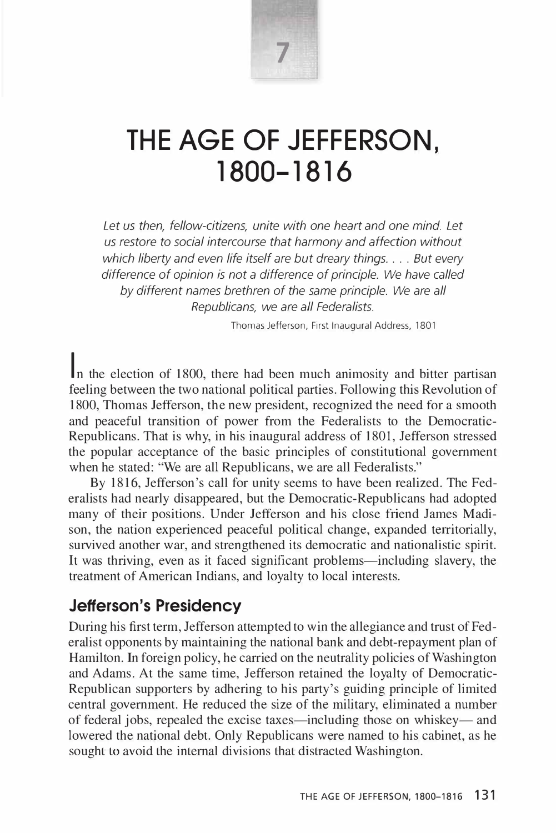

# **THE AGE OF JEFFERSON, 1800-1816**

*Let us then, fellow-citizens, unite with one heart and one mind. Let us restore to social intercourse that harmony and affection without which liberty and even life itself are but dreary things .* ... *But every difference of opinion is not a difference of principle. We have called by different names brethren of the same principle. We are all Republicans, we are all Federalists.* 

Thomas Jefferson, First Inaugural Address, 1801

In the election of 1800, there had been much animosity and bitter partisan feeling between the two national political parties. Following this Revolution of 1800, Thomas Jefferson, the new president, recognized the need for a smooth and peaceful transition of power from the Federalists to the Democratic-Republicans. That is why, in his inaugural address of 1801, Jefferson stressed the popular acceptance of the basic principles of constitutional government when he stated: "We are all Republicans, we are all Federalists."

By 1816, Jefferson's call for unity seems to have been realized. The Federalists had nearly disappeared, but the Democratic-Republicans had adopted many of their positions. Under Jefferson and his close friend James Madison, the nation experienced peaceful political change, expanded territorially, survived another war, and strengthened its democratic and nationalistic spirit. It was thriving, even as it faced significant problems—including slavery, the treatment of American Indians, and loyalty to local interests.

## **Jefferson's Presidency**

During his first term, Jefferson attempted to win the allegiance and trust of Federalist opponents by maintaining the national bank and debt-repayment plan of Hamilton. In foreign policy, he carried on the neutrality policies of Washington and Adams. At the same time, Jefferson retained the loyalty of Democratic-Republican supporters by adhering to his party's guiding principle of limited central government. He reduced the size of the military, eliminated a number of federal jobs, repealed the excise taxes—including those on whiskey— and lowered the national debt. Only Republicans were named to his cabinet, as he sought to avoid the internal divisions that distracted Washington.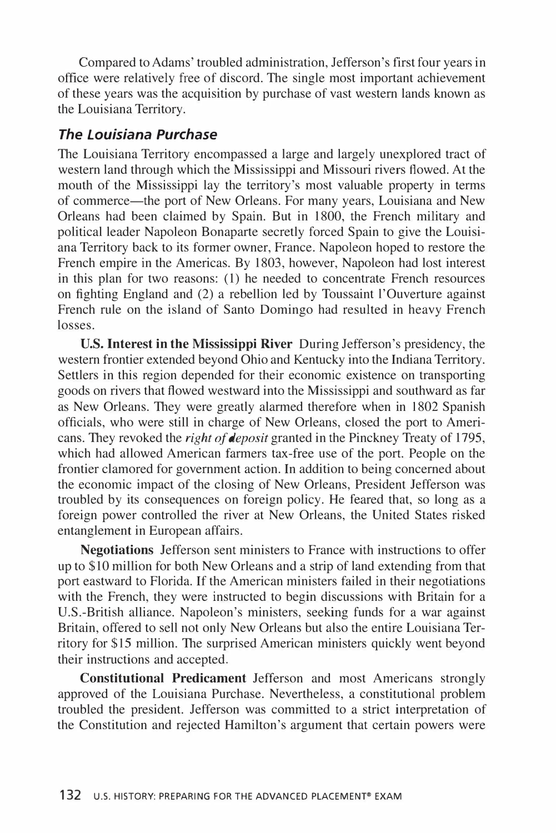Compared to Adams' troubled administration, Jefferson's first four years in office were relatively free of discord. The single most important achievement of these years was the acquisition by purchase of vast western lands known as the Louisiana Territory.

#### *The Louisiana Purchase*

The Louisiana Territory encompassed a large and largely unexplored tract of western land through which the Mississippi and Missouri rivers flowed. At the mouth of the Mississippi lay the territory's most valuable property in terms of commerce-the port of New Orleans. For many years, Louisiana and New Orleans had been claimed by Spain. But in 1800, the French military and political leader Napoleon Bonaparte secretly forced Spain to give the Louisiana Territory back to its former owner, France. Napoleon hoped to restore the French empire in the Americas. By 1803, however, Napoleon had lost interest in this plan for two reasons: (1) he needed to concentrate French resources on fighting England and (2) a rebellion led by Toussaint l'Ouverture against French rule on the island of Santo Domingo had resulted in heavy French losses.

**U.S. Interest in the Mississippi River** During Jefferson's presidency, the western frontier extended beyond Ohio and Kentucky into the Indiana Territory. Settlers in this region depended for their economic existence on transporting goods on rivers that flowed westward into the Mississippi and southward as far as New Orleans. They were greatly alarmed therefore when in 1802 Spanish officials, who were still in charge of New Orleans, closed the port to Americans. They revoked the *right of deposit* granted in the Pinckney Treaty of 1795, which had allowed American farmers tax-free use of the port. People on the frontier clamored for government action. In addition to being concerned about the economic impact of the closing of New Orleans, President Jefferson was troubled by its consequences on foreign policy. He feared that, so long as a foreign power controlled the river at New Orleans, the United States risked entanglement in European affairs.

**Negotiations** Jefferson sent ministers to France with instructions to offer up to \$10 million for both New Orleans and a strip of land extending from that port eastward to Florida. If the American ministers failed in their negotiations with the French, they were instructed to begin discussions with Britain for a U.S.-British alliance. Napoleon's ministers, seeking funds for a war against Britain, offered to sell not only New Orleans but also the entire Louisiana Territory for \$15 million. The surprised American ministers quickly went beyond their instructions and accepted.

**Constitutional Predicament** Jefferson and most Americans strongly approved of the Louisiana Purchase. Nevertheless, a constitutional problem troubled the president. Jefferson was committed to a strict interpretation of the Constitution and rejected Hamilton's argument that certain powers were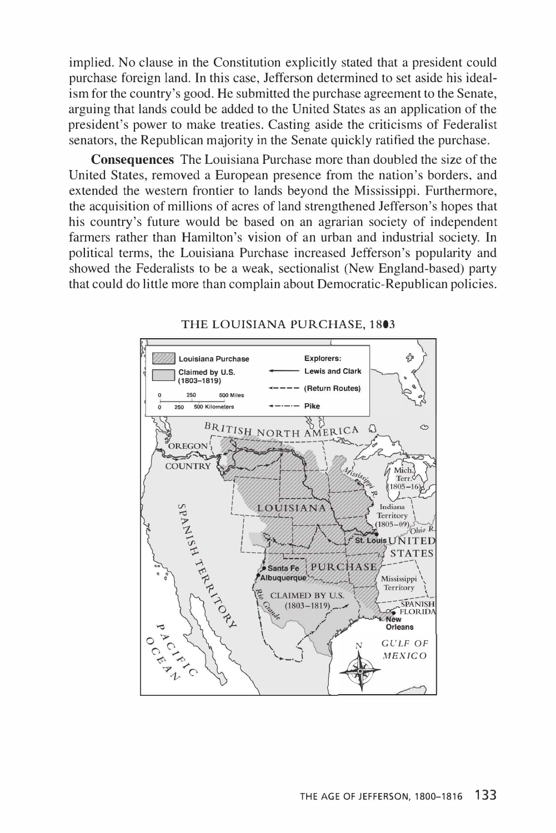implied. No clause in the Constitution explicitly stated that a president could purchase foreign land. In this case, Jefferson determined to set aside his idealism for the country's good. He submitted the purchase agreement to the Senate, arguing that lands could be added to the United States as an application of the president's power to make treaties. Casting aside the criticisms of Federalist senators, the Republican majority in the Senate quickly ratified the purchase.

**Consequences** The Louisiana Purchase more than doubled the size of the United States, removed a European presence from the nation's borders, and extended the western frontier to lands beyond the Mississippi. Furthermore, the acquisition of millions of acres of land strengthened Jefferson's hopes that his country's future would be based on an agrarian society of independent farmers rather than Hamilton's vision of an urban and industrial society. In political terms, the Louisiana Purchase increased Jefferson's popularity and showed the Federalists to be a weak, sectionalist (New England-based) party that could do little more than complain about Democratic-Republican policies.



THE LOUISIANA PURCHASE, 1803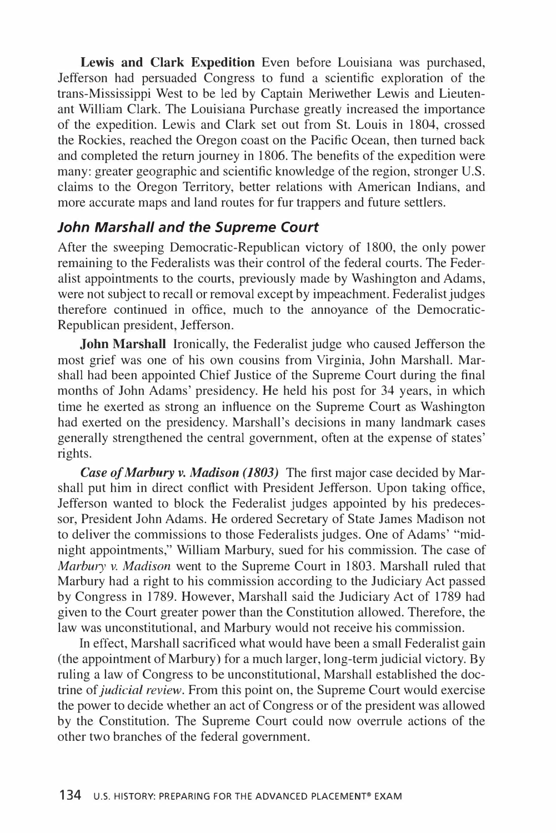Lewis and Clark Expedition Even before Louisiana was purchased, Jefferson had persuaded Congress to fund a scientific exploration of the trans-Mississippi West to be led by Captain Meriwether Lewis and Lieutenant William Clark. The Louisiana Purchase greatly increased the importance of the expedition. Lewis and Clark set out from St. Louis in 1804, crossed the Rockies, reached the Oregon coast on the Pacific Ocean, then turned back and completed the return journey in 1806. The benefits of the expedition were many: greater geographic and scientific knowledge of the region, stronger U.S. claims to the Oregon Territory, better relations with American Indians, and more accurate maps and land routes for fur trappers and future settlers.

#### *John Marshall and the Supreme Court*

After the sweeping Democratic-Republican victory of 1800, the only power remaining to the Federalists was their control of the federal courts. The Federalist appointments to the courts, previously made by Washington and Adams, were not subject to recall or removal except by impeachment. Federalist judges therefore continued in office, much to the annoyance of the Democratic-Republican president, Jefferson.

**John Marshall** Ironically, the Federalist judge who caused Jefferson the most grief was one of his own cousins from Virginia, John Marshall. Marshall had been appointed Chief Justice of the Supreme Court during the final months of John Adams' presidency. He held his post for 34 years, in which time he exerted as strong an influence on the Supreme Court as Washington had exerted on the presidency. Marshall's decisions in many landmark cases generally strengthened the central government, often at the expense of states' rights.

*Case of Marbury v. Madison (1803)* The first major case decided by Marshall put him in direct conflict with President Jefferson. Upon taking office, Jefferson wanted to block the Federalist judges appointed by his predecessor, President John Adams. He ordered Secretary of State James Madison not to deliver the commissions to those Federalists judges. One of Adams' "midnight appointments," William Marbury, sued for his commission. The case of *Marbury v. Madison* went to the Supreme Court in 1803. Marshall ruled that Marbury had a right to his commission according to the Judiciary Act passed by Congress in 1789. However, Marshall said the Judiciary Act of 1789 had given to the Court greater power than the Constitution allowed. Therefore, the law was unconstitutional, and Marbury would not receive his commission.

In effect, Marshall sacrificed what would have been a small Federalist gain (the appointment of Marbury) for a much larger, long-term judicial victory. By ruling a law of Congress to be unconstitutional, Marshall established the doctrine of *judicial review.* From this point on, the Supreme Court would exercise the power to decide whether an act of Congress or of the president was allowed by the Constitution. The Supreme Court could now overrule actions of the other two branches of the federal government.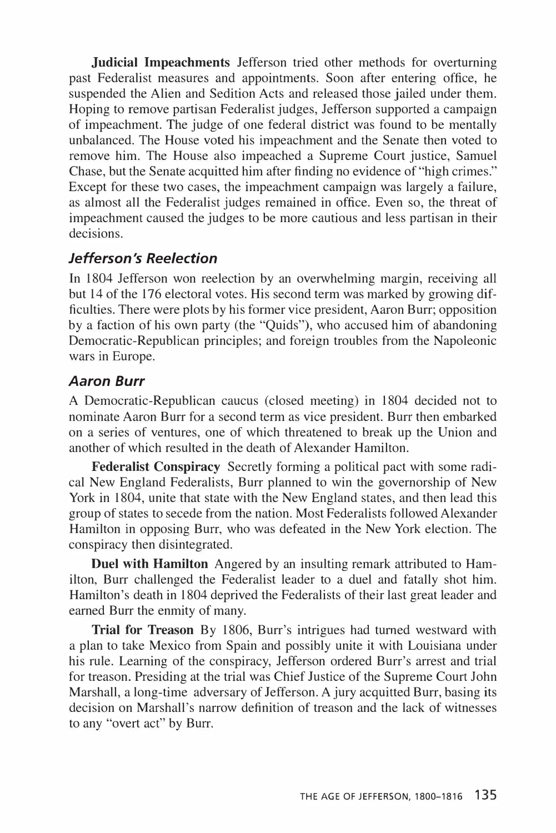**Judicial Impeachments** Jefferson tried other methods for overturning past Federalist measures and appointments. Soon after entering office, he suspended the Alien and Sedition Acts and released those jailed under them. Hoping to remove partisan Federalist judges, Jefferson supported a campaign of impeachment. The judge of one federal district was found to be mentally unbalanced. The House voted his impeachment and the Senate then voted to remove him. The House also impeached a Supreme Court justice, Samuel Chase, but the Senate acquitted him after finding no evidence of "high crimes." Except for these two cases, the impeachment campaign was largely a failure, as almost all the Federalist judges remained in office. Even so, the threat of impeachment caused the judges to be more cautious and less partisan in their decisions.

#### *Jefferson's Reelection*

In 1804 Jefferson won reelection by an overwhelming margin, receiving all but 14 of the 176 electoral votes. His second term was marked by growing difficulties. There were plots by his former vice president, Aaron Burr; opposition by a faction of his own party (the "Quids"), who accused him of abandoning Democratic-Republican principles; and foreign troubles from the Napoleonic wars in Europe.

## *Aaron Burr*

A Democratic-Republican caucus ( closed meeting) in 1804 decided not to nominate Aaron Burr for a second term as vice president. Burr then embarked on a series of ventures, one of which threatened to break up the Union and another of which resulted in the death of Alexander Hamilton.

**Federalist Conspiracy** Secretly forming a political pact with some radical New England Federalists, Burr planned to win the governorship of New York in 1804, unite that state with the New England states, and then lead this group of states to secede from the nation. Most Federalists followed Alexander Hamilton in opposing Burr, who was defeated in the New York election. The conspiracy then disintegrated.

**Duel with Hamilton** Angered by an insulting remark attributed to Hamilton, Burr challenged the Federalist leader to a duel and fatally shot him. Hamilton's death in 1804 deprived the Federalists of their last great leader and earned Burr the enmity of many.

**Trial for Treason** By 1806, Burr's intrigues had turned westward with a plan to take Mexico from Spain and possibly unite it with Louisiana under his rule. Learning of the conspiracy, Jefferson ordered Burr's arrest and trial for treason. Presiding at the trial was Chief Justice of the Supreme Court John Marshall, a long-time adversary of Jefferson. A jury acquitted Burr, basing its decision on Marshall's narrow definition of treason and the lack of witnesses to any "overt act" by Burr.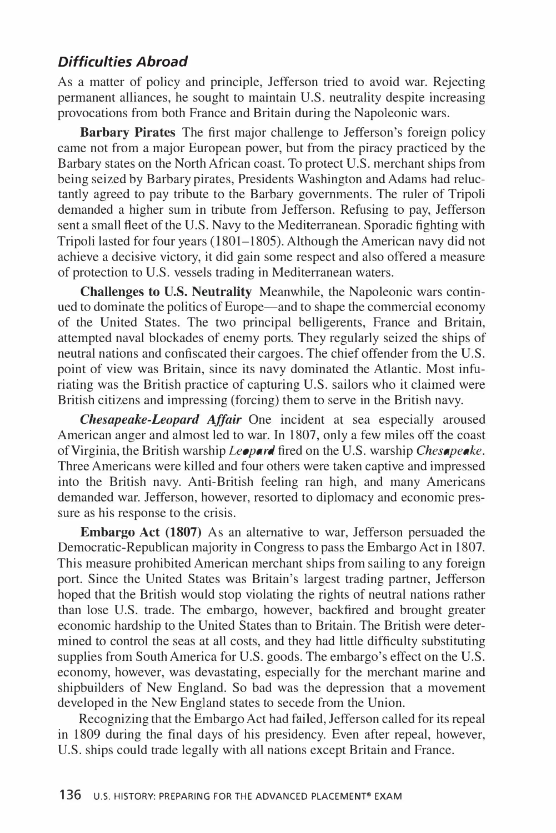#### *Difficulties Abroad*

As a matter of policy and principle, Jefferson tried to avoid war. Rejecting permanent alliances, he sought to maintain U.S. neutrality despite increasing provocations from both France and Britain during the Napoleonic wars.

**Barbary Pirates** The first major challenge to Jefferson's foreign policy came not from a major European power, but from the piracy practiced by the Barbary states on the North African coast. To protect U.S. merchant ships from being seized by Barbary pirates, Presidents Washington and Adams had reluctantly agreed to pay tribute to the Barbary governments. The ruler of Tripoli demanded a higher sum in tribute from Jefferson. Refusing to pay, Jefferson sent a small fleet of the U.S. Navy to the Mediterranean. Sporadic fighting with Tripoli lasted for four years (1801-1805). Although the American navy did not achieve a decisive victory, it did gain some respect and also offered a measure of protection to U.S. vessels trading in Mediterranean waters.

**Challenges to U.S. Neutrality** Meanwhile, the Napoleonic wars continued to dominate the politics of Europe-and to shape the commercial economy of the United States. The two principal belligerents, France and Britain, attempted naval blockades of enemy ports. They regularly seized the ships of neutral nations and confiscated their cargoes. The chief offender from the U.S. point of view was Britain, since its navy dominated the Atlantic. Most infuriating was the British practice of capturing U.S. sailors who it claimed were British citizens and impressing (forcing) them to serve in the British navy.

*Chesapeake-Leopard Affair* One incident at sea especially aroused American anger and almost led to war. In 1807, only a few miles off the coast of Virginia, the British warship *Leopard* fired on the U.S. warship *Chesapeake.*  Three Americans were killed and four others were taken captive and impressed into the British navy. Anti-British feeling ran high, and many Americans demanded war. Jefferson, however, resorted to diplomacy and economic pressure as his response to the crisis.

**Embargo Act (1807)** As an alternative to war, Jefferson persuaded the Democratic-Republican majority in Congress to pass the Embargo Act in 1807. This measure prohibited American merchant ships from sailing to any foreign port. Since the United States was Britain's largest trading partner, Jefferson hoped that the British would stop violating the rights of neutral nations rather than lose U.S. trade. The embargo, however, backfired and brought greater economic hardship to the United States than to Britain. The British were determined to control the seas at all costs, and they had little difficulty substituting supplies from South America for U.S. goods. The embargo's effect on the U.S. economy, however, was devastating, especially for the merchant marine and shipbuilders of New England. So bad was the depression that a movement developed in the New England states to secede from the Union.

Recognizing that the Embargo Act had failed, Jefferson called for its repeal in 1809 during the final days of his presidency. Even after repeal, however, U.S. ships could trade legally with all nations except Britain and France.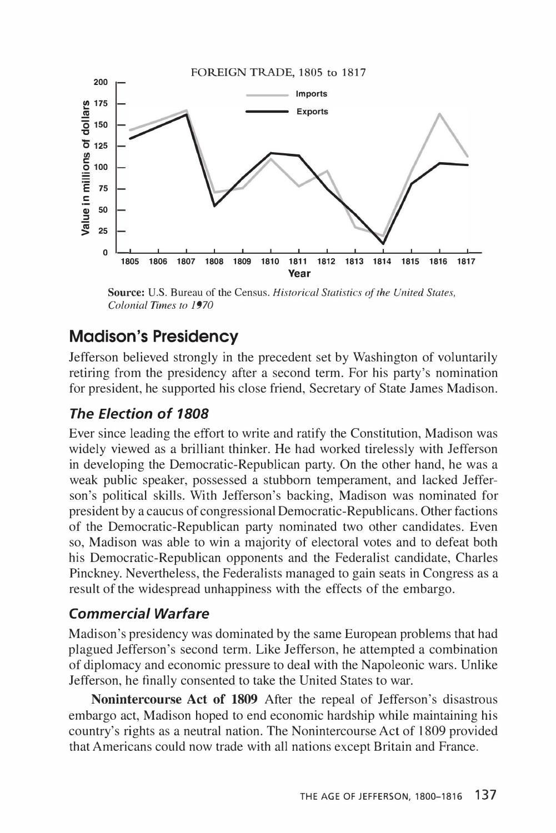

**Source:** U.S. Bureau of the Census. *Historical Statistics of the United States, Colonial Times to 1970* 

# **Madison's Presidency**

Jefferson believed strongly in the precedent set by Washington of voluntarily retiring from the presidency after a second term. For his party's nomination for president, he supported his close friend, Secretary of State James Madison.

## *The Election of 1808*

Ever since leading the effort to write and ratify the Constitution, Madison was widely viewed as a brilliant thinker. He had worked tirelessly with Jefferson in developing the Democratic-Republican party. On the other hand, he was a weak public speaker, possessed a stubborn temperament, and lacked Jefferson's political skills. With Jefferson's backing, Madison was nominated for president by a caucus of congressional Democratic-Republicans. Other factions of the Democratic-Republican party nominated two other candidates. Even so, Madison was able to win a majority of electoral votes and to defeat both his Democratic-Republican opponents and the Federalist candidate, Charles Pinckney. Nevertheless, the Federalists managed to gain seats in Congress as a result of the widespread unhappiness with the effects of the embargo.

## *Commercial Warfare*

Madison's presidency was dominated by the same European problems that had plagued Jefferson's second term. Like Jefferson, he attempted a combination of diplomacy and economic pressure to deal with the Napoleonic wars. Unlike Jefferson, he finally consented to take the United States to war.

**Nonintercourse Act of 1809** After the repeal of Jefferson's disastrous embargo act, Madison hoped to end economic hardship while maintaining his country's rights as a neutral nation. The Nonintercourse Act of 1809 provided that Americans could now trade with all nations except Britain and France.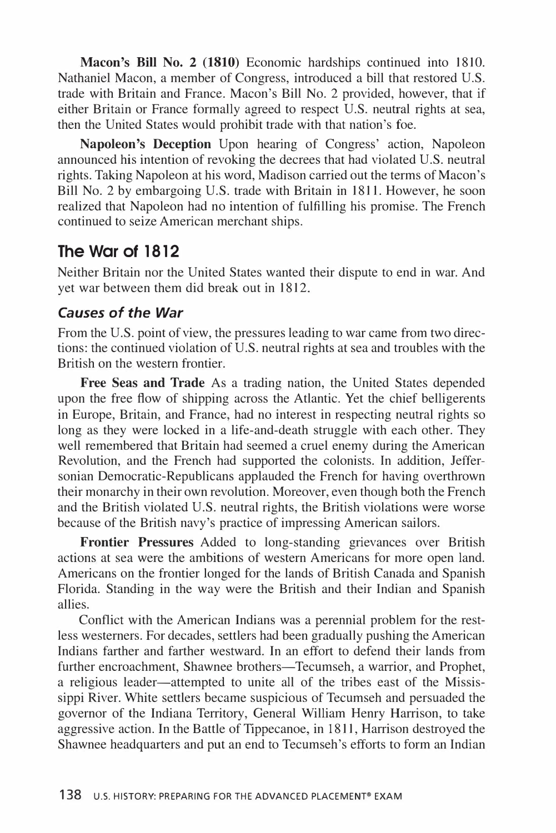**Macon's Bill No. 2 (1810)** Economic hardships continued into 1810. Nathaniel Macon, a member of Congress, introduced a bill that restored U.S. trade with Britain and France. Macon's Bill No. 2 provided, however, that if either Britain or France formally agreed to respect U.S. neutral rights at sea, then the United States would prohibit trade with that nation's foe.

**Napoleon's Deception** Upon hearing of Congress' action, Napoleon announced his intention of revoking the decrees that had violated U.S. neutral rights. Taking Napoleon at his word, Madison carried out the terms of Macon's Bill No. 2 by embargoing U.S. trade with Britain in 1811. However, he soon realized that Napoleon had no intention of fulfilling his promise. The French continued to seize American merchant ships.

## **The War of 1812**

Neither Britain nor the United States wanted their dispute to end in war. And yet war between them did break out in 1812.

#### *Causes of the War*

From the U.S. point of view, the pressures leading to war came from two directions: the continued violation of U.S. neutral rights at sea and troubles with the British on the western frontier.

**Free Seas and Trade** As a trading nation, the United States depended upon the free flow of shipping across the Atlantic. Yet the chief belligerents in Europe, Britain, and France, had no interest in respecting neutral rights so long as they were locked in a life-and-death struggle with each other. They well remembered that Britain had seemed a cruel enemy during the American Revolution, and the French had supported the colonists. In addition, Jeffersonian Democratic-Republicans applauded the French for having overthrown their monarchy in their own revolution. Moreover, even though both the French and the British violated U.S. neutral rights, the British violations were worse because of the British navy's practice of impressing American sailors.

**Frontier Pressures** Added to long-standing grievances over British actions at sea were the ambitions of western Americans for more open land. Americans on the frontier longed for the lands of British Canada and Spanish Florida. Standing in the way were the British and their Indian and Spanish allies.

Conflict with the American Indians was a perennial problem for the restless westerners. For decades, settlers had been gradually pushing the American Indians farther and farther westward. In an effort to defend their lands from further encroachment, Shawnee brothers—Tecumseh, a warrior, and Prophet, a religious leader—attempted to unite all of the tribes east of the Mississippi River. White settlers became suspicious of Tecumseh and persuaded the governor of the Indiana Territory, General William Henry Harrison, to take aggressive action. In the Battle of Tippecanoe, in 1811, Harrison destroyed the Shawnee headquarters and put an end to Tecumseh's efforts to form an Indian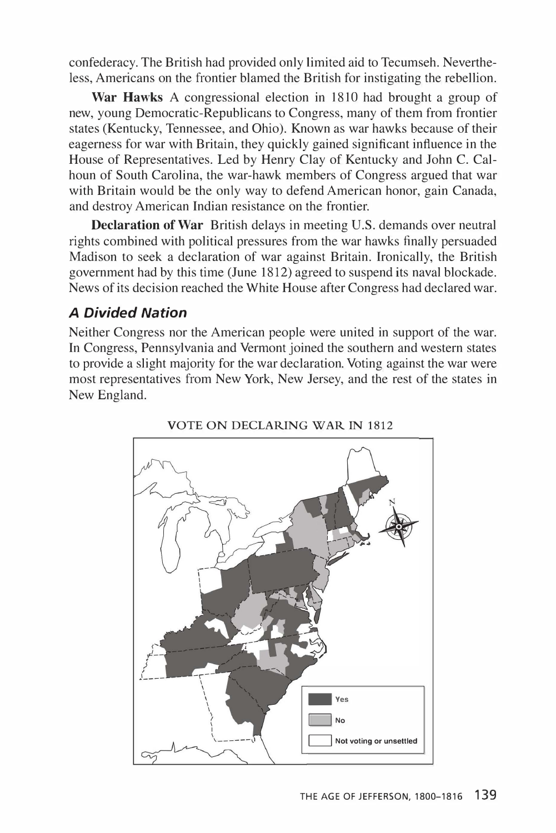confederacy. The British had provided only limited aid to Tecumseh. Nevertheless, Americans on the frontier blamed the British for instigating the rebellion.

**War Hawks** A congressional election in 1810 had brought a group of new, young Democratic-Republicans to Congress, many of them from frontier states (Kentucky, Tennessee, and Ohio). Known as war hawks because of their eagerness for war with Britain, they quickly gained significant influence in the House of Representatives. Led by Henry Clay of Kentucky and John C. Calhoun of South Carolina, the war-hawk members of Congress argued that war with Britain would be the only way to defend American honor, gain Canada, and destroy American Indian resistance on the frontier.

**Declaration of War** British delays in meeting U.S. demands over neutral rights combined with political pressures from the war hawks finally persuaded Madison to seek a declaration of war against Britain. Ironically, the British government had by this time (June 1812) agreed to suspend its naval blockade. News of its decision reached the White House after Congress had declared war.

## *A Divided Nation*

Neither Congress nor the American people were united in support of the war. In Congress, Pennsylvania and Vermont joined the southern and western states to provide a slight majority for the war declaration. Voting against the war were most representatives from New York, New Jersey, and the rest of the states in New England.



#### VOTE ON DECLARING WAR IN 1812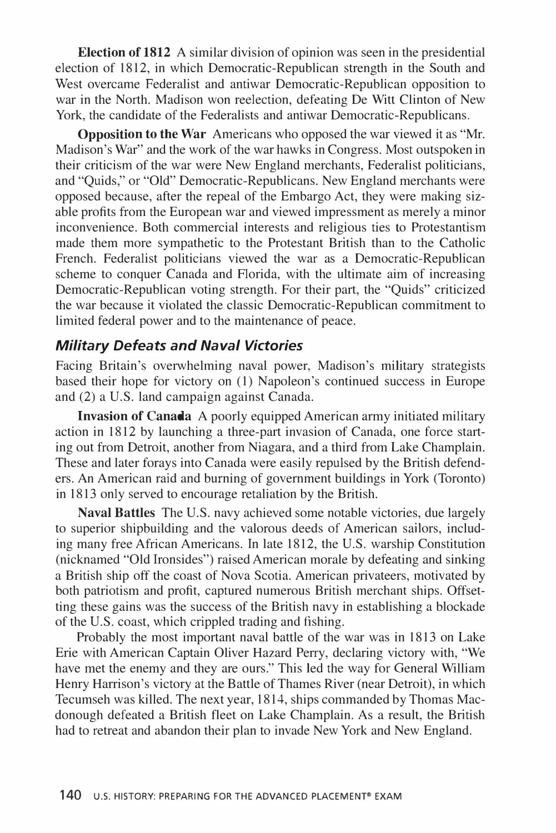**Election of 1812** A similar division of opinion was seen in the presidential election of 1812, in which Democratic-Republican strength in the South and West overcame Federalist and antiwar Democratic-Republican opposition to war in the North. Madison won reelection, defeating De Witt Clinton of New York, the candidate of the Federalists and antiwar Democratic-Republicans.

**Opposition to the War** Americans who opposed the war viewed it as "Mr. Madison's War" and the work of the war hawks in Congress. Most outspoken in their criticism of the war were New England merchants, Federalist politicians, and "Quids," or "Old" Democratic-Republicans. New England merchants were opposed because, after the repeal of the Embargo Act, they were making sizable profits from the European war and viewed impressment as merely a minor inconvenience. Both commercial interests and religious ties to Protestantism made them more sympathetic to the Protestant British than to the Catholic French. Federalist politicians viewed the war as a Democratic-Republican scheme to conquer Canada and Florida, with the ultimate aim of increasing Democratic-Republican voting strength. For their part, the "Quids" criticized the war because it violated the classic Democratic-Republican commitment to limited federal power and to the maintenance of peace.

#### *Military Defeats and Naval Victories*

Facing Britain's overwhelming naval power, Madison's military strategists based their hope for victory on (1) Napoleon's continued success in Europe and (2) a U.S. land campaign against Canada.

**Invasion of Canada** A poorly equipped American army initiated military action in 1812 by launching a three-part invasion of Canada, one force starting out from Detroit, another from Niagara, and a third from Lake Champlain. These and later forays into Canada were easily repulsed by the British defenders. An American raid and burning of government buildings in York (Toronto) in 1813 only served to encourage retaliation by the British.

**Naval Battles** The U.S. navy achieved some notable victories, due largely to superior shipbuilding and the valorous deeds of American sailors, including many free African Americans. In late 1812, the U.S. warship Constitution (nicknamed "Old Ironsides") raised American morale by defeating and sinking a British ship off the coast of Nova Scotia. American privateers, motivated by both patriotism and profit, captured numerous British merchant ships. Offsetting these gains was the success of the British navy in establishing a blockade of the U.S. coast, which crippled trading and fishing.

Probably the most important naval battle of the war was in 1813 on Lake Erie with American Captain Oliver Hazard Perry, declaring victory with, "We have met the enemy and they are ours." This led the way for General William Henry Harrison's victory at the Battle of Thames River (near Detroit), in which Tecumseh was killed. The next year, 1814, ships commanded by Thomas Macdonough defeated a British fleet on Lake Champlain. As a result, the British had to retreat and abandon their plan to invade New York and New England.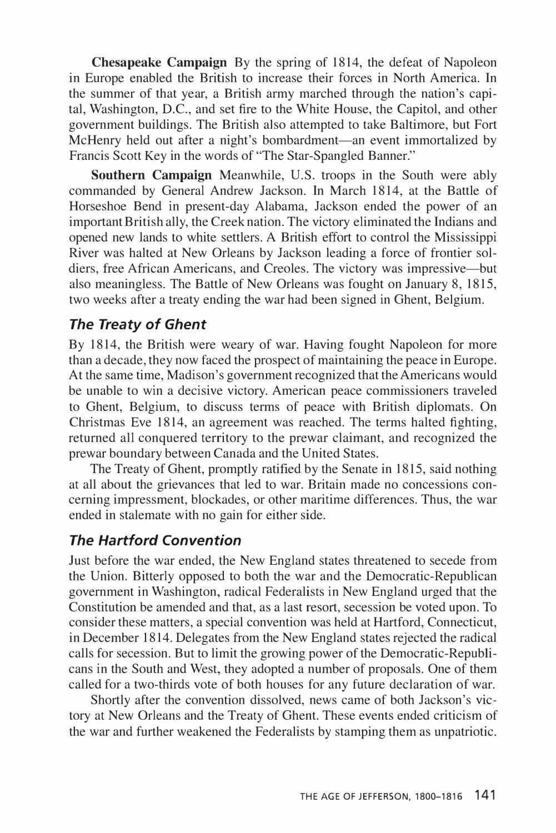**Chesapeake Campaign** By the spring of 1814, the defeat of Napoleon in Europe enabled the British to increase their forces in North America. In the summer of that year, a British army marched through the nation's capital, Washington, D.C., and set fire to the White House, the Capitol, and other government buildings. The British also attempted to take Baltimore, but Fort McHenry held out after a night's bombardment—an event immortalized by Francis Scott Key in the words of "The Star-Spangled Banner."

**Southern Campaign** Meanwhile, U.S. troops in the South were ably commanded by General Andrew Jackson. In March 1814, at the Battle of Horseshoe Bend in present-day Alabama, Jackson ended the power of an important British ally, the Creek nation. The victory eliminated the Indians and opened new lands to white settlers. A British effort to control the Mississippi River was halted at New Orleans by Jackson leading a force of frontier soldiers, free African Americans, and Creoles. The victory was impressive-but also meaningless. The Battle of New Orleans was fought on January 8, 1815, two weeks after a treaty ending the war had been signed in Ghent, Belgium.

## *The Treaty of Ghent*

By 1814, the British were weary of war. Having fought Napoleon for more than a decade, they now faced the prospect of maintaining the peace in Europe. At the same time, Madison's government recognized that the Americans would be unable to win a decisive victory. American peace commissioners traveled to Ghent, Belgium, to discuss terms of peace with British diplomats. On Christmas Eve 1814, an agreement was reached. The terms halted fighting, returned all conquered territory to the prewar claimant, and recognized the prewar boundary between Canada and the United States.

The Treaty of Ghent, promptly ratified by the Senate in 1815, said nothing at all about the grievances that led to war. Britain made no concessions concerning impressment, blockades, or other maritime differences. Thus, the war ended in stalemate with no gain for either side.

## *The Hartford Convention*

Just before the war ended, the New England states threatened to secede from the Union. Bitterly opposed to both the war and the Democratic-Republican government in Washington, radical Federalists in New England urged that the Constitution be amended and that, as a last resort, secession be voted upon. To consider these matters, a special convention was held at Hartford, Connecticut, in December 1814. Delegates from the New England states rejected the radical calls for secession. But to limit the growing power of the Democratic-Republicans in the South and West, they adopted a number of proposals. One of them called for a two-thirds vote of both houses for any future declaration of war.

Shortly after the convention dissolved, news came of both Jackson's victory at New Orleans and the Treaty of Ghent. These events ended criticism of the war and further weakened the Federalists by stamping them as unpatriotic.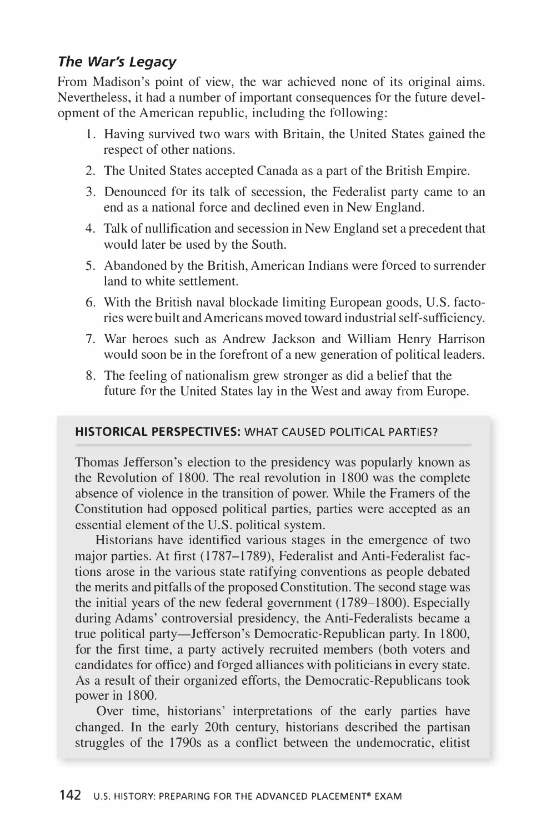## *The War's Legacy*

From Madison's point of view, the war achieved none of its original aims. Nevertheless, it had a number of important consequences for the future development of the American republic, including the following:

- 1. Having survived two wars with Britain, the United States gained the respect of other nations.
- 2. The United States accepted Canada as a part of the British Empire.
- 3. Denounced for its talk of secession, the Federalist party came to an end as a national force and declined even in New England.
- 4. Talk of nullification and secession in New England set a precedent that would later be used by the South.
- 5. Abandoned by the British, American Indians were forced to surrender land to white settlement.
- 6. With the British naval blockade limiting European goods, U.S. factories were built and Americans moved toward industrial self-sufficiency.
- 7. War heroes such as Andrew Jackson and William Henry Harrison would soon be in the forefront of a new generation of political leaders.
- 8. The feeling of nationalism grew stronger as did a belief that the future for the United States lay in the West and away from Europe.

#### **HISTORICAL PERSPECTIVES:** WHAT CAUSED POLITICAL PARTIES?

Thomas Jefferson's election to the presidency was popularly known as the Revolution of 1800. The real revolution in 1800 was the complete absence of violence in the transition of power. While the Framers of the Constitution had opposed political parties, parties were accepted as an essential element of the U.S. political system.

Historians have identified various stages in the emergence of two major parties. At first (1787-1789), Federalist and Anti-Federalist factions arose in the various state ratifying conventions as people debated the merits and pitfalls of the proposed Constitution. The second stage was the initial years of the new federal government (1789-1800). Especially during Adams' controversial presidency, the Anti-Federalists became a true political party-Jefferson's Democratic-Republican party. In 1800, for the first time, a party actively recruited members (both voters and candidates for office) and forged alliances with politicians in every state. As a result of their organized efforts, the Democratic-Republicans took power in 1800.

Over time, historians' interpretations of the early parties have changed. In the early 20th century, historians described the partisan struggles of the 1790s as a conflict between the undemocratic, elitist